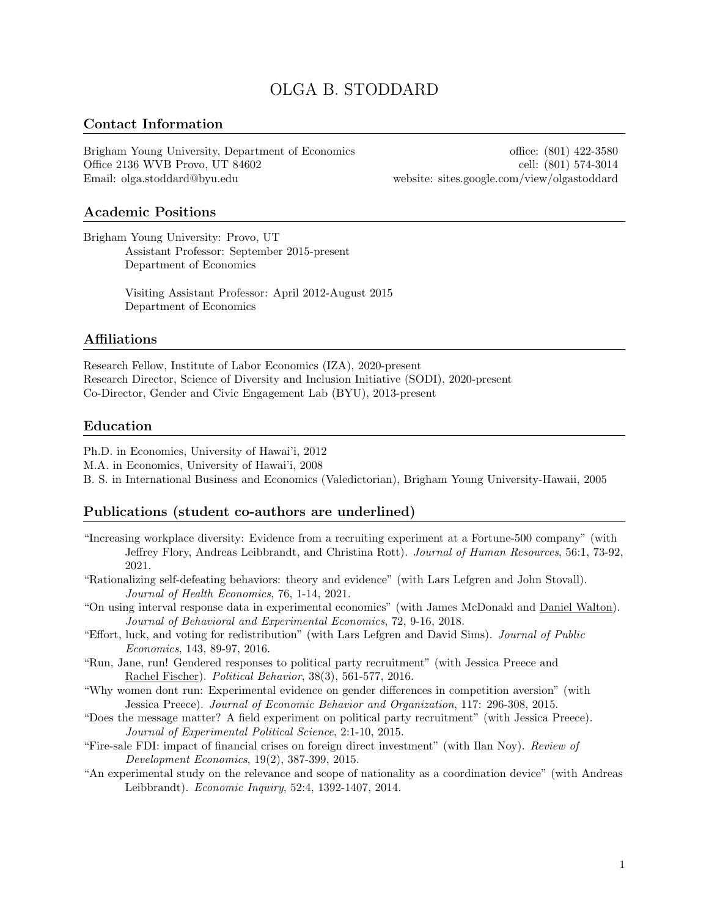# OLGA B. STODDARD

### Contact Information

Brigham Young University, Department of Economics office: (801) 422-3580 Office 2136 WVB Provo, UT 84602 cell: (801) 574-3014 Email: olga.stoddard@byu.edu website: sites.google.com/view/olgastoddard

#### Academic Positions

Brigham Young University: Provo, UT Assistant Professor: September 2015-present Department of Economics

> Visiting Assistant Professor: April 2012-August 2015 Department of Economics

#### Affiliations

Research Fellow, Institute of Labor Economics (IZA), 2020-present Research Director, Science of Diversity and Inclusion Initiative (SODI), 2020-present Co-Director, Gender and Civic Engagement Lab (BYU), 2013-present

#### Education

Ph.D. in Economics, University of Hawai'i, 2012

M.A. in Economics, University of Hawai'i, 2008

B. S. in International Business and Economics (Valedictorian), Brigham Young University-Hawaii, 2005

#### Publications (student co-authors are underlined)

"Increasing workplace diversity: Evidence from a recruiting experiment at a Fortune-500 company" (with Jeffrey Flory, Andreas Leibbrandt, and Christina Rott). Journal of Human Resources, 56:1, 73-92, 2021.

"Rationalizing self-defeating behaviors: theory and evidence" (with Lars Lefgren and John Stovall). Journal of Health Economics, 76, 1-14, 2021.

- "On using interval response data in experimental economics" (with James McDonald and Daniel Walton). Journal of Behavioral and Experimental Economics, 72, 9-16, 2018.
- "Effort, luck, and voting for redistribution" (with Lars Lefgren and David Sims). Journal of Public Economics, 143, 89-97, 2016.
- "Run, Jane, run! Gendered responses to political party recruitment" (with Jessica Preece and Rachel Fischer). Political Behavior, 38(3), 561-577, 2016.
- "Why women dont run: Experimental evidence on gender differences in competition aversion" (with Jessica Preece). Journal of Economic Behavior and Organization, 117: 296-308, 2015.
- "Does the message matter? A field experiment on political party recruitment" (with Jessica Preece). Journal of Experimental Political Science, 2:1-10, 2015.
- "Fire-sale FDI: impact of financial crises on foreign direct investment" (with Ilan Noy). Review of Development Economics, 19(2), 387-399, 2015.
- "An experimental study on the relevance and scope of nationality as a coordination device" (with Andreas Leibbrandt). Economic Inquiry, 52:4, 1392-1407, 2014.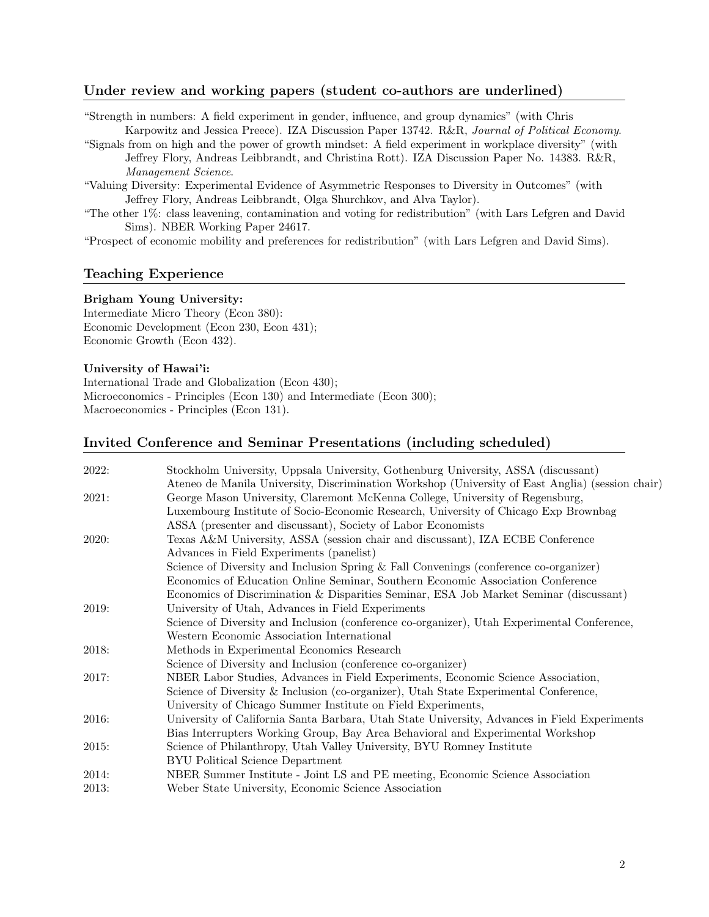## Under review and working papers (student co-authors are underlined)

"Strength in numbers: A field experiment in gender, influence, and group dynamics" (with Chris Karpowitz and Jessica Preece). IZA Discussion Paper 13742. R&R, Journal of Political Economy.

"Signals from on high and the power of growth mindset: A field experiment in workplace diversity" (with Jeffrey Flory, Andreas Leibbrandt, and Christina Rott). IZA Discussion Paper No. 14383. R&R, Management Science.

"Valuing Diversity: Experimental Evidence of Asymmetric Responses to Diversity in Outcomes" (with Jeffrey Flory, Andreas Leibbrandt, Olga Shurchkov, and Alva Taylor).

"The other 1%: class leavening, contamination and voting for redistribution" (with Lars Lefgren and David Sims). NBER Working Paper 24617.

"Prospect of economic mobility and preferences for redistribution" (with Lars Lefgren and David Sims).

## Teaching Experience

### Brigham Young University:

Intermediate Micro Theory (Econ 380): Economic Development (Econ 230, Econ 431); Economic Growth (Econ 432).

### University of Hawai'i:

International Trade and Globalization (Econ 430); Microeconomics - Principles (Econ 130) and Intermediate (Econ 300); Macroeconomics - Principles (Econ 131).

## Invited Conference and Seminar Presentations (including scheduled)

| Stockholm University, Uppsala University, Gothenburg University, ASSA (discussant)               |
|--------------------------------------------------------------------------------------------------|
| Ateneo de Manila University, Discrimination Workshop (University of East Anglia) (session chair) |
| George Mason University, Claremont McKenna College, University of Regensburg,                    |
| Luxembourg Institute of Socio-Economic Research, University of Chicago Exp Brownbag              |
| ASSA (presenter and discussant), Society of Labor Economists                                     |
| Texas A&M University, ASSA (session chair and discussant), IZA ECBE Conference                   |
| Advances in Field Experiments (panelist)                                                         |
| Science of Diversity and Inclusion Spring & Fall Convenings (conference co-organizer)            |
| Economics of Education Online Seminar, Southern Economic Association Conference                  |
| Economics of Discrimination & Disparities Seminar, ESA Job Market Seminar (discussant)           |
| University of Utah, Advances in Field Experiments                                                |
| Science of Diversity and Inclusion (conference co-organizer), Utah Experimental Conference,      |
| Western Economic Association International                                                       |
| Methods in Experimental Economics Research                                                       |
| Science of Diversity and Inclusion (conference co-organizer)                                     |
| NBER Labor Studies, Advances in Field Experiments, Economic Science Association,                 |
| Science of Diversity & Inclusion (co-organizer), Utah State Experimental Conference,             |
| University of Chicago Summer Institute on Field Experiments,                                     |
| University of California Santa Barbara, Utah State University, Advances in Field Experiments     |
| Bias Interrupters Working Group, Bay Area Behavioral and Experimental Workshop                   |
| Science of Philanthropy, Utah Valley University, BYU Romney Institute                            |
| <b>BYU Political Science Department</b>                                                          |
| NBER Summer Institute - Joint LS and PE meeting, Economic Science Association                    |
| Weber State University, Economic Science Association                                             |
|                                                                                                  |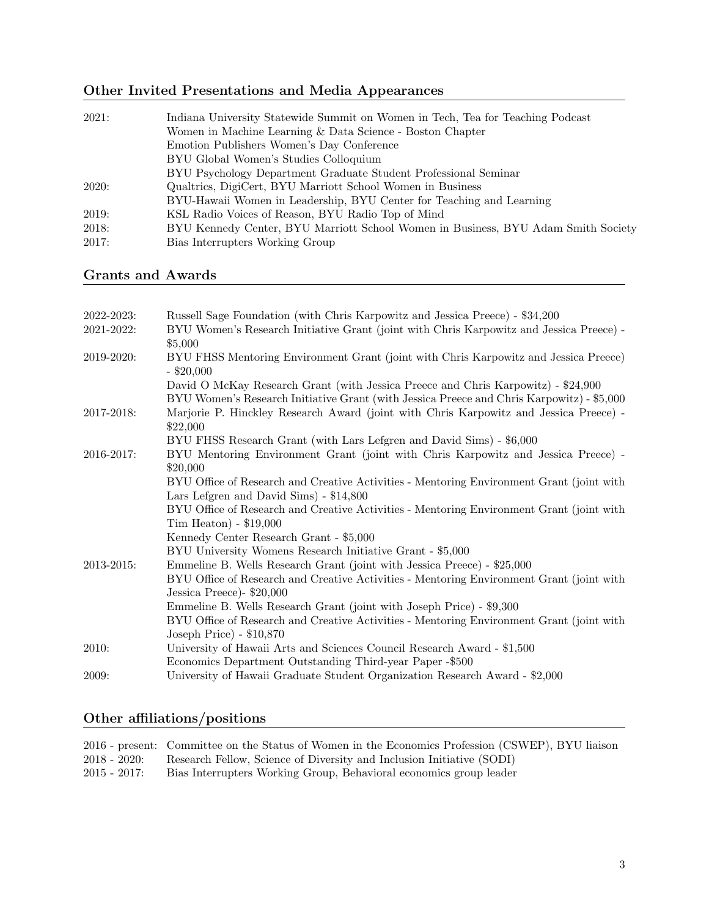# Other Invited Presentations and Media Appearances

| 2021: | Indiana University Statewide Summit on Women in Tech, Tea for Teaching Podcast    |
|-------|-----------------------------------------------------------------------------------|
|       | Women in Machine Learning & Data Science - Boston Chapter                         |
|       | Emotion Publishers Women's Day Conference                                         |
|       | BYU Global Women's Studies Colloquium                                             |
|       | BYU Psychology Department Graduate Student Professional Seminar                   |
| 2020: | Qualtrics, DigiCert, BYU Marriott School Women in Business                        |
|       | BYU-Hawaii Women in Leadership, BYU Center for Teaching and Learning              |
| 2019: | KSL Radio Voices of Reason, BYU Radio Top of Mind                                 |
| 2018: | BYU Kennedy Center, BYU Marriott School Women in Business, BYU Adam Smith Society |
| 2017: | Bias Interrupters Working Group                                                   |
|       |                                                                                   |

# Grants and Awards

| 2022-2023: | Russell Sage Foundation (with Chris Karpowitz and Jessica Preece) - \$34,200                                                                                                   |
|------------|--------------------------------------------------------------------------------------------------------------------------------------------------------------------------------|
| 2021-2022: | BYU Women's Research Initiative Grant (joint with Chris Karpowitz and Jessica Preece) -<br>\$5,000                                                                             |
| 2019-2020: | BYU FHSS Mentoring Environment Grant (joint with Chris Karpowitz and Jessica Preece)<br>$-$ \$20,000                                                                           |
|            | David O McKay Research Grant (with Jessica Preece and Chris Karpowitz) - \$24,900<br>BYU Women's Research Initiative Grant (with Jessica Preece and Chris Karpowitz) - \$5,000 |
| 2017-2018: | Marjorie P. Hinckley Research Award (joint with Chris Karpowitz and Jessica Preece) -<br>\$22,000                                                                              |
|            | BYU FHSS Research Grant (with Lars Lefgren and David Sims) - \$6,000                                                                                                           |
| 2016-2017: | BYU Mentoring Environment Grant (joint with Chris Karpowitz and Jessica Preece) -<br>\$20,000                                                                                  |
|            | BYU Office of Research and Creative Activities - Mentoring Environment Grant (joint with<br>Lars Lefgren and David Sims) - \$14,800                                            |
|            | BYU Office of Research and Creative Activities - Mentoring Environment Grant (joint with<br>$Tim$ Heaton) - $$19,000$                                                          |
|            | Kennedy Center Research Grant - \$5,000                                                                                                                                        |
|            | BYU University Womens Research Initiative Grant - \$5,000                                                                                                                      |
| 2013-2015: | Emmeline B. Wells Research Grant (joint with Jessica Preece) - \$25,000                                                                                                        |
|            | BYU Office of Research and Creative Activities - Mentoring Environment Grant (joint with<br>Jessica Preece) - \$20,000                                                         |
|            | Emmeline B. Wells Research Grant (joint with Joseph Price) - \$9,300                                                                                                           |
|            | BYU Office of Research and Creative Activities - Mentoring Environment Grant (joint with                                                                                       |
|            | Joseph Price) - \$10,870                                                                                                                                                       |
| 2010:      | University of Hawaii Arts and Sciences Council Research Award - \$1,500                                                                                                        |
|            | Economics Department Outstanding Third-year Paper -\$500                                                                                                                       |
| 2009:      | University of Hawaii Graduate Student Organization Research Award - \$2,000                                                                                                    |

# Other affiliations/positions

|              | 2016 - present: Committee on the Status of Women in the Economics Profession (CSWEP), BYU liaison |
|--------------|---------------------------------------------------------------------------------------------------|
| 2018 - 2020: | Research Fellow, Science of Diversity and Inclusion Initiative (SODI)                             |
| 2015 - 2017: | Bias Interrupters Working Group, Behavioral economics group leader                                |